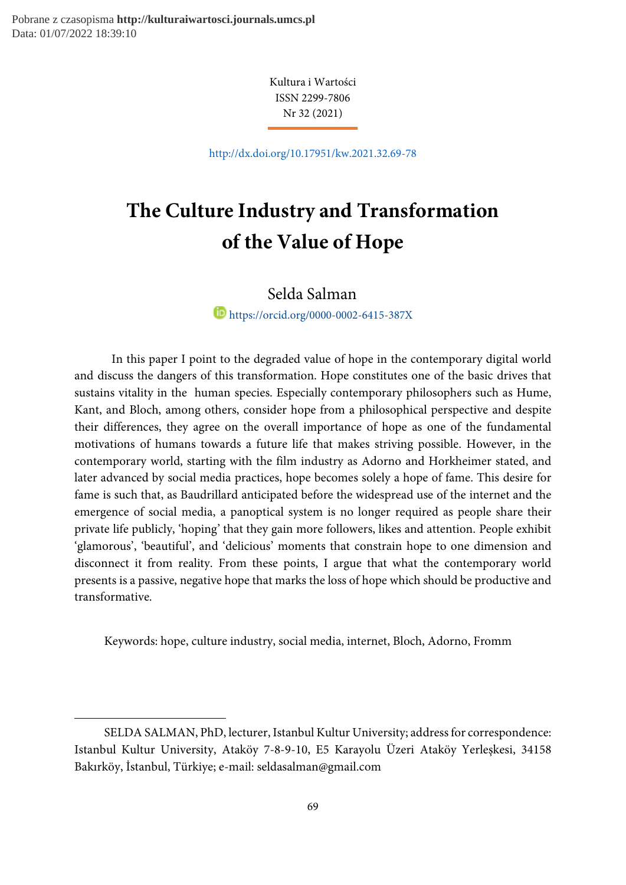-

Kultura i Wartości ISSN 2299-7806 Nr 32 (2021)

http://dx.doi.org/10.17951/kw.2021.32.69-78

# The Culture Industry and Transformation of the Value of Hope

Selda Salman<sup>1</sup>

https://orcid.org/0000-0002-6415-387X

In this paper I point to the degraded value of hope in the contemporary digital world and discuss the dangers of this transformation. Hope constitutes one of the basic drives that sustains vitality in the human species. Especially contemporary philosophers such as Hume, Kant, and Bloch, among others, consider hope from a philosophical perspective and despite their differences, they agree on the overall importance of hope as one of the fundamental motivations of humans towards a future life that makes striving possible. However, in the contemporary world, starting with the film industry as Adorno and Horkheimer stated, and later advanced by social media practices, hope becomes solely a hope of fame. This desire for fame is such that, as Baudrillard anticipated before the widespread use of the internet and the emergence of social media, a panoptical system is no longer required as people share their private life publicly, 'hoping' that they gain more followers, likes and attention. People exhibit 'glamorous', 'beautiful', and 'delicious' moments that constrain hope to one dimension and disconnect it from reality. From these points, I argue that what the contemporary world presents is a passive, negative hope that marks the loss of hope which should be productive and transformative.

Keywords: hope, culture industry, social media, internet, Bloch, Adorno, Fromm

SELDA SALMAN, PhD, lecturer, Istanbul Kultur University; address for correspondence: Istanbul Kultur University, Ataköy 7-8-9-10, E5 Karayolu Üzeri Ataköy Yerleşkesi, 34158 Bakırköy, İstanbul, Türkiye; e-mail: seldasalman@gmail.com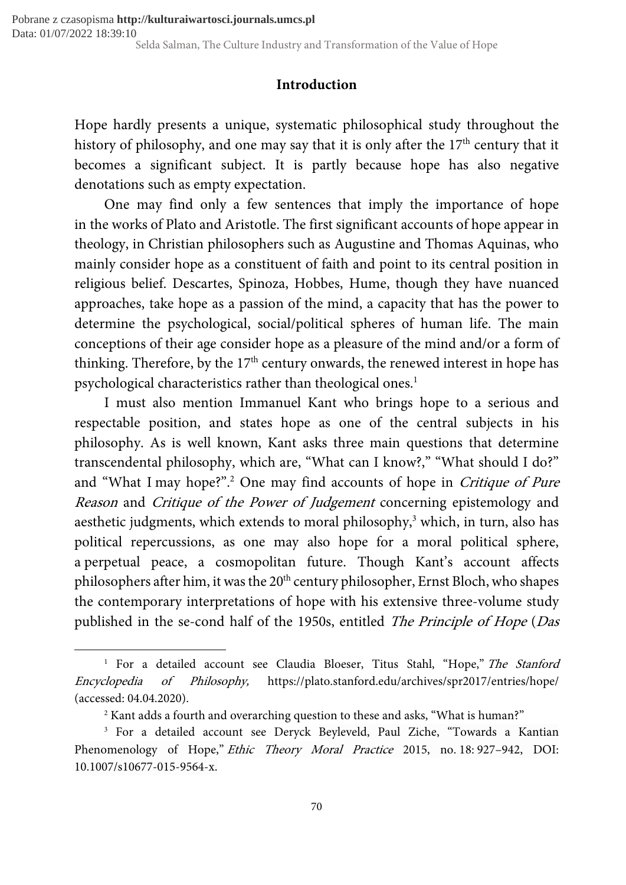## Introduction

Hope hardly presents a unique, systematic philosophical study throughout the history of philosophy, and one may say that it is only after the  $17<sup>th</sup>$  century that it becomes a significant subject. It is partly because hope has also negative denotations such as empty expectation.

One may find only a few sentences that imply the importance of hope in the works of Plato and Aristotle. The first significant accounts of hope appear in theology, in Christian philosophers such as Augustine and Thomas Aquinas, who mainly consider hope as a constituent of faith and point to its central position in religious belief. Descartes, Spinoza, Hobbes, Hume, though they have nuanced approaches, take hope as a passion of the mind, a capacity that has the power to determine the psychological, social/political spheres of human life. The main conceptions of their age consider hope as a pleasure of the mind and/or a form of thinking. Therefore, by the  $17<sup>th</sup>$  century onwards, the renewed interest in hope has psychological characteristics rather than theological ones.<sup>1</sup>

I must also mention Immanuel Kant who brings hope to a serious and respectable position, and states hope as one of the central subjects in his philosophy. As is well known, Kant asks three main questions that determine transcendental philosophy, which are, "What can I know?," "What should I do?" and "What I may hope?".<sup>2</sup> One may find accounts of hope in *Critique of Pure* Reason and Critique of the Power of Judgement concerning epistemology and aesthetic judgments, which extends to moral philosophy,<sup>3</sup> which, in turn, also has political repercussions, as one may also hope for a moral political sphere, a perpetual peace, a cosmopolitan future. Though Kant's account affects philosophers after him, it was the 20<sup>th</sup> century philosopher, Ernst Bloch, who shapes the contemporary interpretations of hope with his extensive three-volume study published in the se-cond half of the 1950s, entitled The Principle of Hope (Das

<sup>&</sup>lt;sup>1</sup> For a detailed account see Claudia Bloeser, Titus Stahl, "Hope," The Stanford Encyclopedia of Philosophy, https://plato.stanford.edu/archives/spr2017/entries/hope/ (accessed: 04.04.2020).

<sup>2</sup> Kant adds a fourth and overarching question to these and asks, "What is human?"

<sup>3</sup> For a detailed account see Deryck Beyleveld, Paul Ziche, "Towards a Kantian Phenomenology of Hope," Ethic Theory Moral Practice 2015, no. 18: 927-942, DOI: 10.1007/s10677-015-9564-x.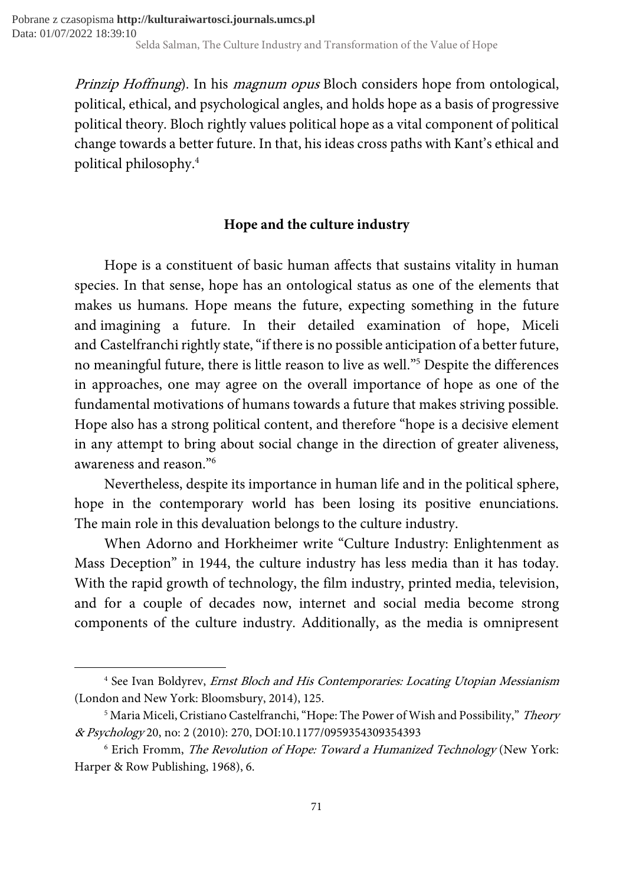Prinzip Hoffnung). In his *magnum opus* Bloch considers hope from ontological, political, ethical, and psychological angles, and holds hope as a basis of progressive political theory. Bloch rightly values political hope as a vital component of political change towards a better future. In that, his ideas cross paths with Kant's ethical and political philosophy.<sup>4</sup>

## Hope and the culture industry

Hope is a constituent of basic human affects that sustains vitality in human species. In that sense, hope has an ontological status as one of the elements that makes us humans. Hope means the future, expecting something in the future and imagining a future. In their detailed examination of hope, Miceli and Castelfranchi rightly state, "if there is no possible anticipation of a better future, no meaningful future, there is little reason to live as well."<sup>5</sup> Despite the differences in approaches, one may agree on the overall importance of hope as one of the fundamental motivations of humans towards a future that makes striving possible. Hope also has a strong political content, and therefore "hope is a decisive element in any attempt to bring about social change in the direction of greater aliveness, awareness and reason."<sup>6</sup>

Nevertheless, despite its importance in human life and in the political sphere, hope in the contemporary world has been losing its positive enunciations. The main role in this devaluation belongs to the culture industry.

When Adorno and Horkheimer write "Culture Industry: Enlightenment as Mass Deception" in 1944, the culture industry has less media than it has today. With the rapid growth of technology, the film industry, printed media, television, and for a couple of decades now, internet and social media become strong components of the culture industry. Additionally, as the media is omnipresent

<sup>&</sup>lt;sup>4</sup> See Ivan Boldyrev, *Ernst Bloch and His Contemporaries: Locating Utopian Messianism* (London and New York: Bloomsbury, 2014), 125.

<sup>&</sup>lt;sup>5</sup> Maria Miceli, Cristiano Castelfranchi, "Hope: The Power of Wish and Possibility," *Theory* & Psychology 20, no: 2 (2010): 270, DOI:10.1177/0959354309354393

<sup>&</sup>lt;sup>6</sup> Erich Fromm, *The Revolution of Hope: Toward a Humanized Technology* (New York: Harper & Row Publishing, 1968), 6.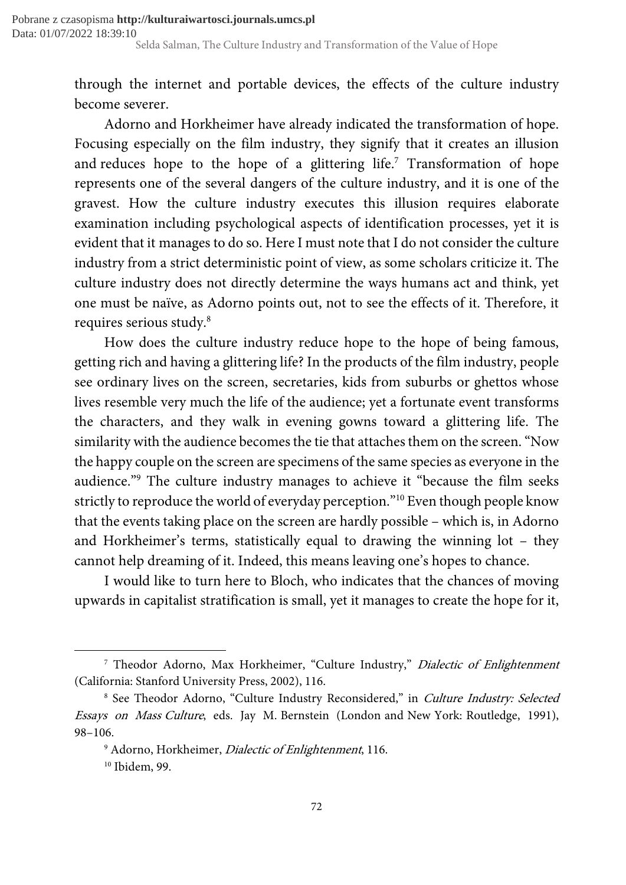through the internet and portable devices, the effects of the culture industry become severer.

Adorno and Horkheimer have already indicated the transformation of hope. Focusing especially on the film industry, they signify that it creates an illusion and reduces hope to the hope of a glittering life.<sup>7</sup> Transformation of hope represents one of the several dangers of the culture industry, and it is one of the gravest. How the culture industry executes this illusion requires elaborate examination including psychological aspects of identification processes, yet it is evident that it manages to do so. Here I must note that I do not consider the culture industry from a strict deterministic point of view, as some scholars criticize it. The culture industry does not directly determine the ways humans act and think, yet one must be naïve, as Adorno points out, not to see the effects of it. Therefore, it requires serious study.<sup>8</sup>

How does the culture industry reduce hope to the hope of being famous, getting rich and having a glittering life? In the products of the film industry, people see ordinary lives on the screen, secretaries, kids from suburbs or ghettos whose lives resemble very much the life of the audience; yet a fortunate event transforms the characters, and they walk in evening gowns toward a glittering life. The similarity with the audience becomes the tie that attaches them on the screen. "Now the happy couple on the screen are specimens of the same species as everyone in the audience."<sup>9</sup> The culture industry manages to achieve it "because the film seeks strictly to reproduce the world of everyday perception."<sup>10</sup> Even though people know that the events taking place on the screen are hardly possible – which is, in Adorno and Horkheimer's terms, statistically equal to drawing the winning lot – they cannot help dreaming of it. Indeed, this means leaving one's hopes to chance.

I would like to turn here to Bloch, who indicates that the chances of moving upwards in capitalist stratification is small, yet it manages to create the hope for it,

<sup>&</sup>lt;sup>7</sup> Theodor Adorno, Max Horkheimer, "Culture Industry," *Dialectic of Enlightenment* (California: Stanford University Press, 2002), 116.

<sup>&</sup>lt;sup>8</sup> See Theodor Adorno, "Culture Industry Reconsidered," in *Culture Industry: Selected* Essays on Mass Culture, eds. Jay M. Bernstein (London and New York: Routledge, 1991), 98–106.

<sup>&</sup>lt;sup>9</sup> Adorno, Horkheimer, *Dialectic of Enlightenment*, 116. <sup>10</sup> Ibidem, 99.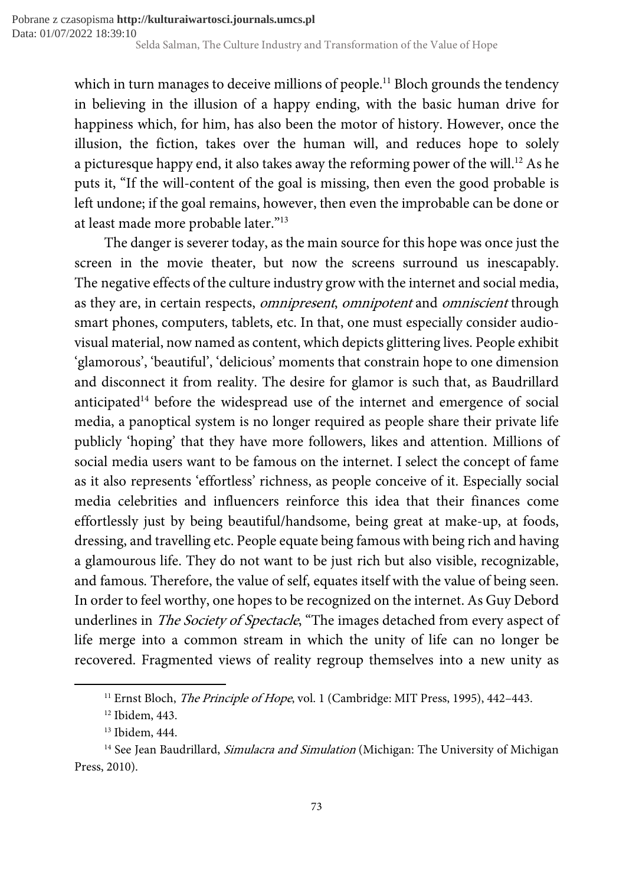which in turn manages to deceive millions of people.<sup>11</sup> Bloch grounds the tendency in believing in the illusion of a happy ending, with the basic human drive for happiness which, for him, has also been the motor of history. However, once the illusion, the fiction, takes over the human will, and reduces hope to solely a picturesque happy end, it also takes away the reforming power of the will.<sup>12</sup> As he puts it, "If the will-content of the goal is missing, then even the good probable is left undone; if the goal remains, however, then even the improbable can be done or at least made more probable later."<sup>13</sup>

The danger is severer today, as the main source for this hope was once just the screen in the movie theater, but now the screens surround us inescapably. The negative effects of the culture industry grow with the internet and social media, as they are, in certain respects, *omnipresent*, *omnipotent* and *omniscient* through smart phones, computers, tablets, etc. In that, one must especially consider audiovisual material, now named as content, which depicts glittering lives. People exhibit 'glamorous', 'beautiful', 'delicious' moments that constrain hope to one dimension and disconnect it from reality. The desire for glamor is such that, as Baudrillard anticipated<sup>14</sup> before the widespread use of the internet and emergence of social media, a panoptical system is no longer required as people share their private life publicly 'hoping' that they have more followers, likes and attention. Millions of social media users want to be famous on the internet. I select the concept of fame as it also represents 'effortless' richness, as people conceive of it. Especially social media celebrities and influencers reinforce this idea that their finances come effortlessly just by being beautiful/handsome, being great at make-up, at foods, dressing, and travelling etc. People equate being famous with being rich and having a glamourous life. They do not want to be just rich but also visible, recognizable, and famous. Therefore, the value of self, equates itself with the value of being seen. In order to feel worthy, one hopes to be recognized on the internet. As Guy Debord underlines in *The Society of Spectacle*, "The images detached from every aspect of life merge into a common stream in which the unity of life can no longer be recovered. Fragmented views of reality regroup themselves into a new unity as

<sup>&</sup>lt;sup>11</sup> Ernst Bloch, *The Principle of Hope*, vol. 1 (Cambridge: MIT Press, 1995), 442-443.

<sup>12</sup> Ibidem, 443.

<sup>13</sup> Ibidem, 444.

<sup>&</sup>lt;sup>14</sup> See Jean Baudrillard, *Simulacra and Simulation* (Michigan: The University of Michigan Press, 2010).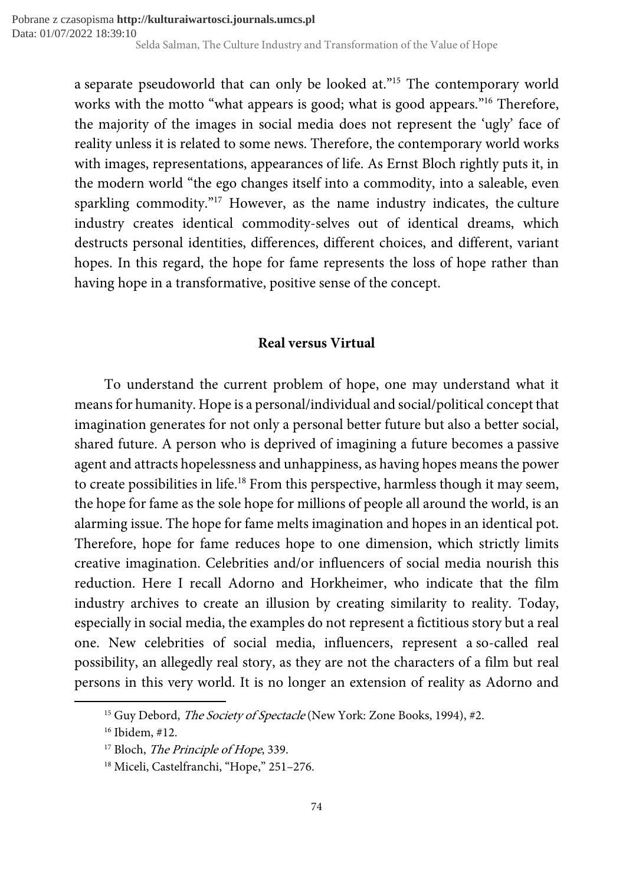a separate pseudoworld that can only be looked at."<sup>15</sup> The contemporary world works with the motto "what appears is good; what is good appears."<sup>16</sup> Therefore, the majority of the images in social media does not represent the 'ugly' face of reality unless it is related to some news. Therefore, the contemporary world works with images, representations, appearances of life. As Ernst Bloch rightly puts it, in the modern world "the ego changes itself into a commodity, into a saleable, even sparkling commodity."<sup>17</sup> However, as the name industry indicates, the culture industry creates identical commodity-selves out of identical dreams, which destructs personal identities, differences, different choices, and different, variant hopes. In this regard, the hope for fame represents the loss of hope rather than having hope in a transformative, positive sense of the concept.

## Real versus Virtual

To understand the current problem of hope, one may understand what it means for humanity. Hope is a personal/individual and social/political concept that imagination generates for not only a personal better future but also a better social, shared future. A person who is deprived of imagining a future becomes a passive agent and attracts hopelessness and unhappiness, as having hopes means the power to create possibilities in life.<sup>18</sup> From this perspective, harmless though it may seem, the hope for fame as the sole hope for millions of people all around the world, is an alarming issue. The hope for fame melts imagination and hopes in an identical pot. Therefore, hope for fame reduces hope to one dimension, which strictly limits creative imagination. Celebrities and/or influencers of social media nourish this reduction. Here I recall Adorno and Horkheimer, who indicate that the film industry archives to create an illusion by creating similarity to reality. Today, especially in social media, the examples do not represent a fictitious story but a real one. New celebrities of social media, influencers, represent a so-called real possibility, an allegedly real story, as they are not the characters of a film but real persons in this very world. It is no longer an extension of reality as Adorno and

<sup>&</sup>lt;sup>15</sup> Guy Debord, *The Society of Spectacle* (New York: Zone Books, 1994), #2.

<sup>16</sup> Ibidem, #12.

<sup>&</sup>lt;sup>17</sup> Bloch, *The Principle of Hope*, 339.

<sup>&</sup>lt;sup>18</sup> Miceli, Castelfranchi, "Hope," 251-276.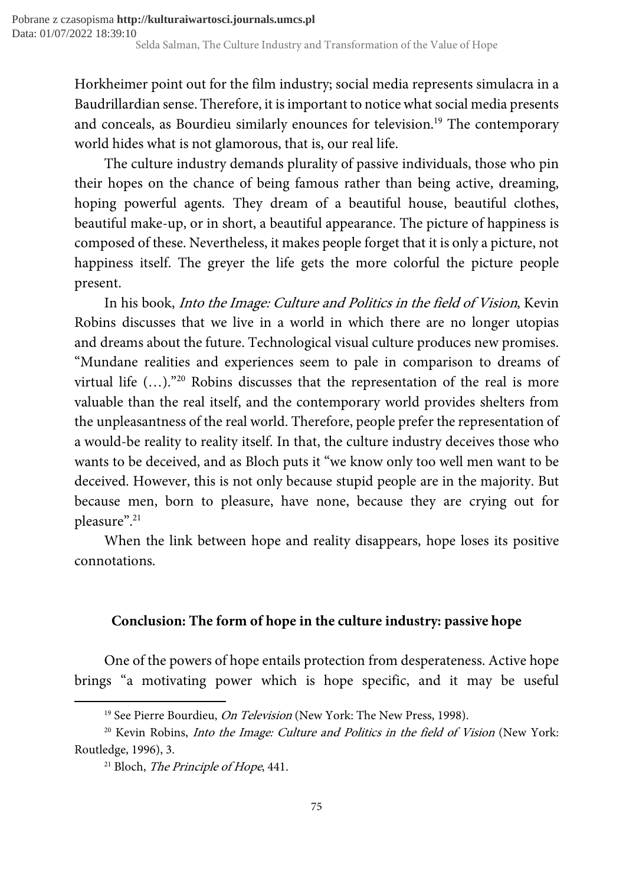Horkheimer point out for the film industry; social media represents simulacra in a Baudrillardian sense. Therefore, it is important to notice what social media presents and conceals, as Bourdieu similarly enounces for television.<sup>19</sup> The contemporary world hides what is not glamorous, that is, our real life.

The culture industry demands plurality of passive individuals, those who pin their hopes on the chance of being famous rather than being active, dreaming, hoping powerful agents. They dream of a beautiful house, beautiful clothes, beautiful make-up, or in short, a beautiful appearance. The picture of happiness is composed of these. Nevertheless, it makes people forget that it is only a picture, not happiness itself. The greyer the life gets the more colorful the picture people present.

In his book, Into the Image: Culture and Politics in the field of Vision, Kevin Robins discusses that we live in a world in which there are no longer utopias and dreams about the future. Technological visual culture produces new promises. "Mundane realities and experiences seem to pale in comparison to dreams of virtual life (…)."<sup>20</sup> Robins discusses that the representation of the real is more valuable than the real itself, and the contemporary world provides shelters from the unpleasantness of the real world. Therefore, people prefer the representation of a would-be reality to reality itself. In that, the culture industry deceives those who wants to be deceived, and as Bloch puts it "we know only too well men want to be deceived. However, this is not only because stupid people are in the majority. But because men, born to pleasure, have none, because they are crying out for pleasure".<sup>21</sup>

When the link between hope and reality disappears, hope loses its positive connotations.

## Conclusion: The form of hope in the culture industry: passive hope

One of the powers of hope entails protection from desperateness. Active hope brings "a motivating power which is hope specific, and it may be useful

<sup>&</sup>lt;sup>19</sup> See Pierre Bourdieu, *On Television* (New York: The New Press, 1998).

 $20$  Kevin Robins, *Into the Image: Culture and Politics in the field of Vision* (New York: Routledge, 1996), 3.

 $21$  Bloch, *The Principle of Hope*, 441.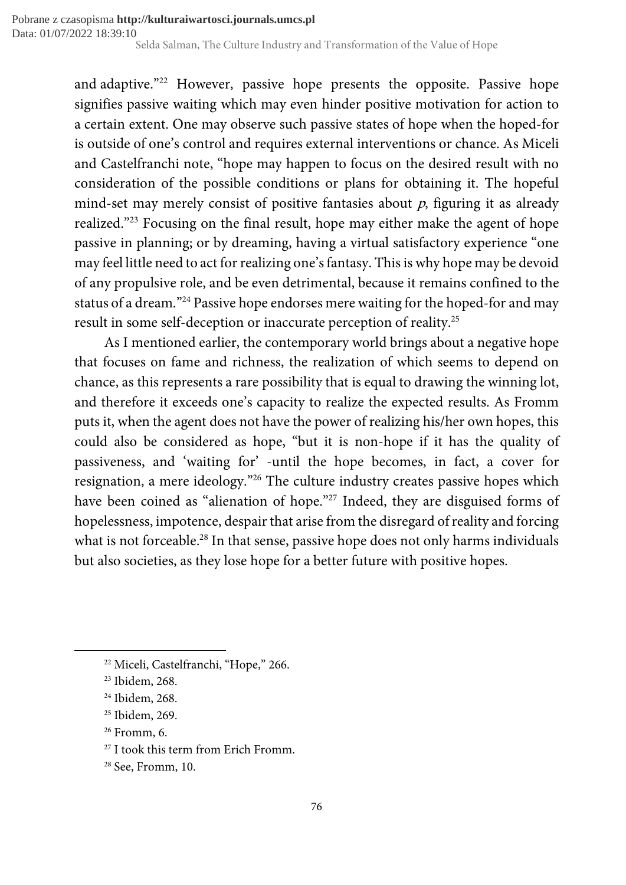and adaptive."<sup>22</sup> However, passive hope presents the opposite. Passive hope signifies passive waiting which may even hinder positive motivation for action to a certain extent. One may observe such passive states of hope when the hoped-for is outside of one's control and requires external interventions or chance. As Miceli and Castelfranchi note, "hope may happen to focus on the desired result with no consideration of the possible conditions or plans for obtaining it. The hopeful mind-set may merely consist of positive fantasies about  $p$ , figuring it as already realized."<sup>23</sup> Focusing on the final result, hope may either make the agent of hope passive in planning; or by dreaming, having a virtual satisfactory experience "one may feel little need to act for realizing one's fantasy. This is why hope may be devoid of any propulsive role, and be even detrimental, because it remains confined to the status of a dream."<sup>24</sup> Passive hope endorses mere waiting for the hoped-for and may result in some self-deception or inaccurate perception of reality.<sup>25</sup>

As I mentioned earlier, the contemporary world brings about a negative hope that focuses on fame and richness, the realization of which seems to depend on chance, as this represents a rare possibility that is equal to drawing the winning lot, and therefore it exceeds one's capacity to realize the expected results. As Fromm puts it, when the agent does not have the power of realizing his/her own hopes, this could also be considered as hope, "but it is non-hope if it has the quality of passiveness, and 'waiting for' -until the hope becomes, in fact, a cover for resignation, a mere ideology."<sup>26</sup> The culture industry creates passive hopes which have been coined as "alienation of hope."<sup>27</sup> Indeed, they are disguised forms of hopelessness, impotence, despair that arise from the disregard of reality and forcing what is not forceable.<sup>28</sup> In that sense, passive hope does not only harms individuals but also societies, as they lose hope for a better future with positive hopes.

<sup>22</sup> Miceli, Castelfranchi, "Hope," 266.

<sup>&</sup>lt;sup>23</sup> Ibidem, 268.

<sup>24</sup> Ibidem, 268.

<sup>25</sup> Ibidem, 269.

<sup>26</sup> Fromm, 6.

<sup>&</sup>lt;sup>27</sup> I took this term from Erich Fromm.

<sup>&</sup>lt;sup>28</sup> See, Fromm, 10.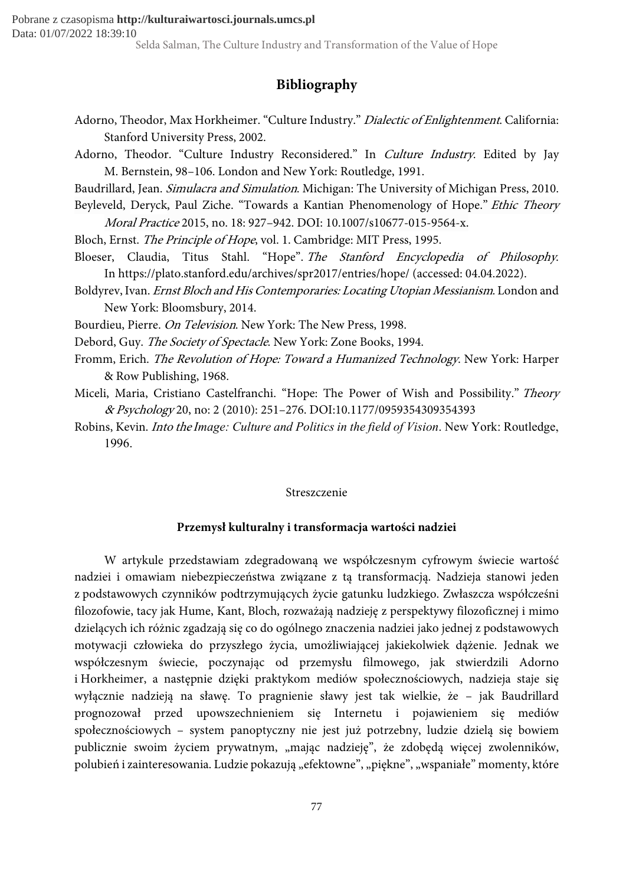## Bibliography

- Adorno, Theodor, Max Horkheimer. "Culture Industry." Dialectic of Enlightenment. California: Stanford University Press, 2002.
- Adorno, Theodor. "Culture Industry Reconsidered." In Culture Industry. Edited by Jay M. Bernstein, 98–106. London and New York: Routledge, 1991.
- Baudrillard, Jean. Simulacra and Simulation. Michigan: The University of Michigan Press, 2010.
- Beyleveld, Deryck, Paul Ziche. "Towards a Kantian Phenomenology of Hope." Ethic Theory Moral Practice 2015, no. 18: 927–942. DOI: 10.1007/s10677-015-9564-x.
- Bloch, Ernst. The Principle of Hope, vol. 1. Cambridge: MIT Press, 1995.
- Bloeser, Claudia, Titus Stahl. "Hope". The Stanford Encyclopedia of Philosophy. In https://plato.stanford.edu/archives/spr2017/entries/hope/ (accessed: 04.04.2022).
- Boldyrev, Ivan. Ernst Bloch and His Contemporaries: Locating Utopian Messianism. London and New York: Bloomsbury, 2014.
- Bourdieu, Pierre. On Television. New York: The New Press, 1998.
- Debord, Guy. The Society of Spectacle. New York: Zone Books, 1994.
- Fromm, Erich. The Revolution of Hope: Toward a Humanized Technology. New York: Harper & Row Publishing, 1968.
- Miceli, Maria, Cristiano Castelfranchi. "Hope: The Power of Wish and Possibility." Theory & Psychology 20, no: 2 (2010): 251–276. DOI:10.1177/0959354309354393
- Robins, Kevin. Into the Image: Culture and Politics in the field of Vision. New York: Routledge, 1996.

#### Streszczenie

#### Przemysł kulturalny i transformacja wartości nadziei

W artykule przedstawiam zdegradowaną we współczesnym cyfrowym świecie wartość nadziei i omawiam niebezpieczeństwa związane z tą transformacją. Nadzieja stanowi jeden z podstawowych czynników podtrzymujących życie gatunku ludzkiego. Zwłaszcza współcześni filozofowie, tacy jak Hume, Kant, Bloch, rozważają nadzieję z perspektywy filozoficznej i mimo dzielących ich różnic zgadzają się co do ogólnego znaczenia nadziei jako jednej z podstawowych motywacji człowieka do przyszłego życia, umożliwiającej jakiekolwiek dążenie. Jednak we współczesnym świecie, poczynając od przemysłu filmowego, jak stwierdzili Adorno i Horkheimer, a następnie dzięki praktykom mediów społecznościowych, nadzieja staje się wyłącznie nadzieją na sławę. To pragnienie sławy jest tak wielkie, że – jak Baudrillard prognozował przed upowszechnieniem się Internetu i pojawieniem się mediów społecznościowych – system panoptyczny nie jest już potrzebny, ludzie dzielą się bowiem publicznie swoim życiem prywatnym, "mając nadzieję", że zdobędą więcej zwolenników, polubień i zainteresowania. Ludzie pokazują "efektowne", "piękne", "wspaniałe" momenty, które